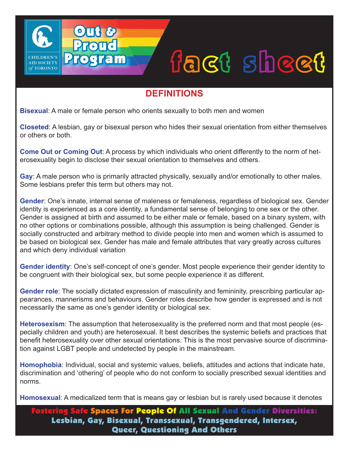## fact sheet

## **DEFINITIONS**

**Bisexual**: A male or female person who orients sexually to both men and women

Out &

Proud

Program

**AID SOCIETY** TORONTO

**Closeted**: A lesbian, gay or bisexual person who hides their sexual orientation from either themselves or others or both.

**Come Out or Coming Out**: A process by which individuals who orient differently to the norm of heterosexuality begin to disclose their sexual orientation to themselves and others.

**Gay**: A male person who is primarily attracted physically, sexually and/or emotionally to other males. Some lesbians prefer this term but others may not.

**Gender**: One's innate, internal sense of maleness or femaleness, regardless of biological sex. Gender identity is experienced as a core identity, a fundamental sense of belonging to one sex or the other. Gender is assigned at birth and assumed to be either male or female, based on a binary system, with no other options or combinations possible, although this assumption is being challenged. Gender is socially constructed and arbitrary method to divide people into men and women which is assumed to be based on biological sex. Gender has male and female attributes that vary greatly across cultures and which deny individual variation

**Gender identity**: One's self-concept of one's gender. Most people experience their gender identity to be congruent with their biological sex, but some people experience it as different.

**Gender role**: The socially dictated expression of masculinity and femininity, prescribing particular appearances, mannerisms and behaviours. Gender roles describe how gender is expressed and is not necessarily the same as one's gender identity or biological sex.

**Heterosexism**: The assumption that heterosexuality is the preferred norm and that most people (especially children and youth) are heterosexual. It best describes the systemic beliefs and practices that benefit heterosexuality over other sexual orientations. This is the most pervasive source of discrimination against LGBT people and undetected by people in the mainstream.

**Homophobia**: Individual, social and systemic values, beliefs, attitudes and actions that indicate hate, discrimination and 'othering' of people who do not conform to socially prescribed sexual identities and norms.

**Homosexual**: A medicalized term that is means gay or lesbian but is rarely used because it denotes

Fostering Safe Spaces For People Of All Sexual And Gender Diversities: Lesbian, Gay, Bisexual, Transsexual, Transgendered, Intersex, Queer, Questioning And Others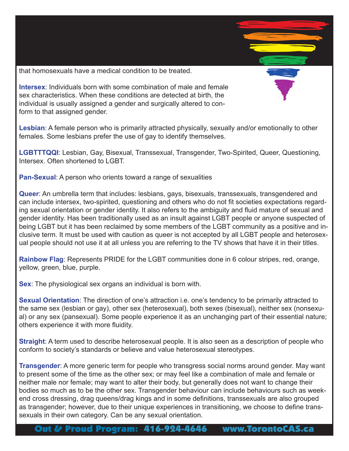that homosexuals have a medical condition to be treated.

**Intersex**: Individuals born with some combination of male and female sex characteristics. When these conditions are detected at birth, the individual is usually assigned a gender and surgically altered to conform to that assigned gender.

**Lesbian**: A female person who is primarily attracted physically, sexually and/or emotionally to other females. Some lesbians prefer the use of gay to identify themselves.

**LGBTTTQQI**: Lesbian, Gay, Bisexual, Transsexual, Transgender, Two-Spirited, Queer, Questioning, Intersex. Often shortened to LGBT.

**Pan-Sexual**: A person who orients toward a range of sexualities

**Queer**: An umbrella term that includes: lesbians, gays, bisexuals, transsexuals, transgendered and can include intersex, two-spirited, questioning and others who do not fit societies expectations regarding sexual orientation or gender identity. It also refers to the ambiguity and fluid mature of sexual and gender identity. Has been traditionally used as an insult against LGBT people or anyone suspected of being LGBT but it has been reclaimed by some members of the LGBT community as a positive and inclusive term. It must be used with caution as queer is not accepted by all LGBT people and heterosexual people should not use it at all unless you are referring to the TV shows that have it in their titles.

**Rainbow Flag**: Represents PRIDE for the LGBT communities done in 6 colour stripes, red, orange, yellow, green, blue, purple.

**Sex**: The physiological sex organs an individual is born with.

**Sexual Orientation**: The direction of one's attraction i.e. one's tendency to be primarily attracted to the same sex (lesbian or gay), other sex (heterosexual), both sexes (bisexual), neither sex (nonsexual) or any sex (pansexual). Some people experience it as an unchanging part of their essential nature; others experience it with more fluidity.

**Straight**: A term used to describe heterosexual people. It is also seen as a description of people who conform to society's standards or believe and value heterosexual stereotypes.

**Transgender**: A more generic term for people who transgress social norms around gender. May want to present some of the time as the other sex; or may feel like a combination of male and female or neither male nor female; may want to alter their body, but generally does not want to change their bodies so much as to be the other sex. Transgender behaviour can include behaviours such as weekend cross dressing, drag queens/drag kings and in some definitions, transsexuals are also grouped as transgender; however, due to their unique experiences in transitioning, we choose to define transsexuals in their own category. Can be any sexual orientation.

Out & Proud Program: 416-924-4646 www.TorontoCAS.ca